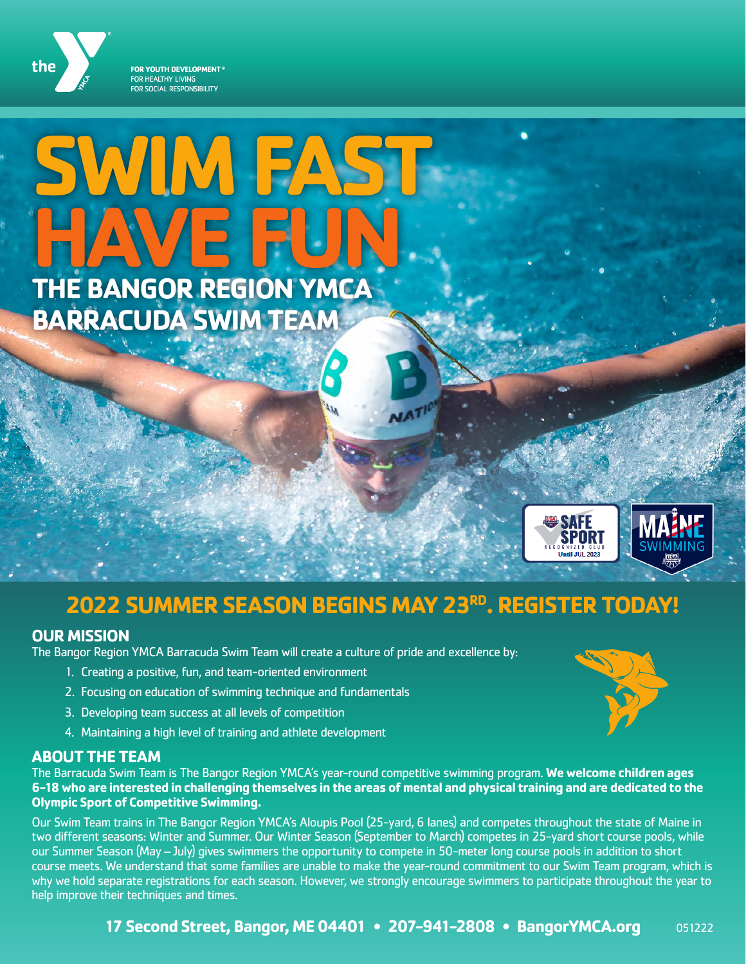

# **SWIM FAST HAVE FUN THE BANGOR REGION YMCA BARRACUDA SWIM TEAM**



# **2022 SUMMER SEASON BEGINS MAY 23RD. REGISTER TODAY!**

#### **OUR MISSION**

The Bangor Region YMCA Barracuda Swim Team will create a culture of pride and excellence by:

- 1. Creating a positive, fun, and team-oriented environment
- 2. Focusing on education of swimming technique and fundamentals
- 3. Developing team success at all levels of competition
- 4. Maintaining a high level of training and athlete development

#### **ABOUT THE TEAM**

The Barracuda Swim Team is The Bangor Region YMCA's year-round competitive swimming program. **We welcome children ages 6-18 who are interested in challenging themselves in the areas of mental and physical training and are dedicated to the Olympic Sport of Competitive Swimming.** 

Our Swim Team trains in The Bangor Region YMCA's Aloupis Pool (25-yard, 6 lanes) and competes throughout the state of Maine in two different seasons: Winter and Summer. Our Winter Season (September to March) competes in 25-yard short course pools, while our Summer Season (May – July) gives swimmers the opportunity to compete in 50-meter long course pools in addition to short course meets. We understand that some families are unable to make the year-round commitment to our Swim Team program, which is why we hold separate registrations for each season. However, we strongly encourage swimmers to participate throughout the year to help improve their techniques and times.

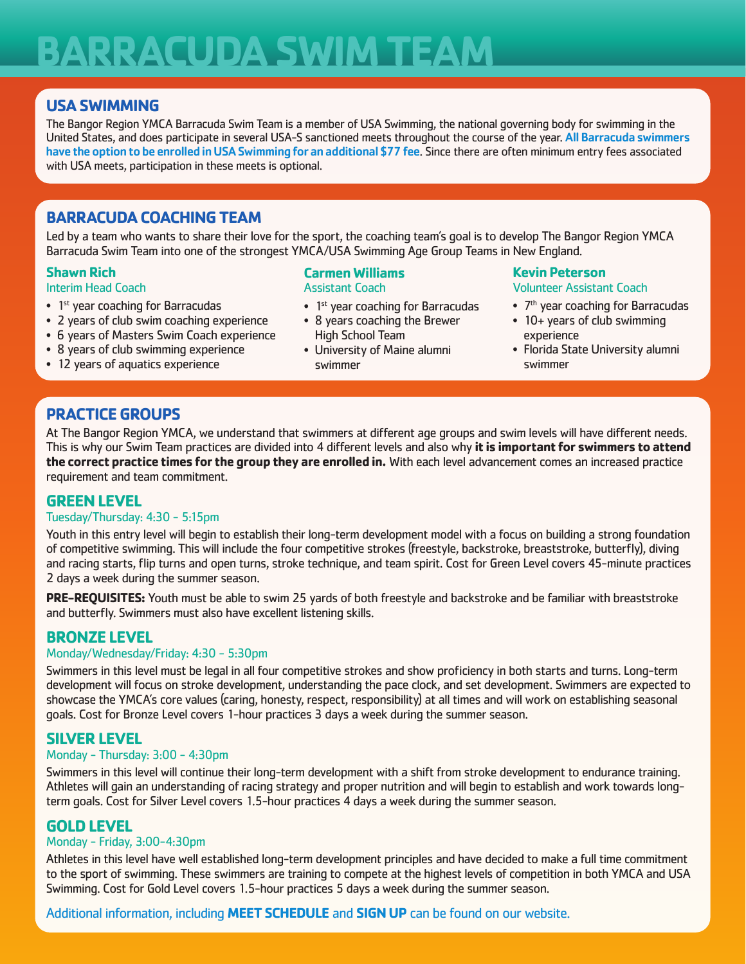# **BARRACUDA SWIM TEAM**

### **USA SWIMMING**

The Bangor Region YMCA Barracuda Swim Team is a member of USA Swimming, the national governing body for swimming in the United States, and does participate in several USA-S sanctioned meets throughout the course of the year. All Barracuda swimmers have the option to be enrolled in USA Swimming for an additional \$77 fee. Since there are often minimum entry fees associated with USA meets, participation in these meets is optional.

# **BARRACUDA COACHING TEAM**

Led by a team who wants to share their love for the sport, the coaching team's goal is to develop The Bangor Region YMCA Barracuda Swim Team into one of the strongest YMCA/USA Swimming Age Group Teams in New England.

#### **Shawn Rich**

#### Interim Head Coach

- $\bullet$  1<sup>st</sup> year coaching for Barracudas
- 2 years of club swim coaching experience
- 6 years of Masters Swim Coach experience
- 8 years of club swimming experience
- 12 years of aquatics experience

#### **Carmen Williams** Assistant Coach

- $\bullet$  1<sup>st</sup> year coaching for Barracudas
- 8 years coaching the Brewer High School Team
- University of Maine alumni swimmer

#### **Kevin Peterson** Volunteer Assistant Coach

- $\bullet$  7<sup>th</sup> year coaching for Barracudas
- 10+ years of club swimming experience
- Florida State University alumni swimmer

# **PRACTICE GROUPS**

At The Bangor Region YMCA, we understand that swimmers at different age groups and swim levels will have different needs. This is why our Swim Team practices are divided into 4 different levels and also why **it is important for swimmers to attend the correct practice times for the group they are enrolled in.** With each level advancement comes an increased practice requirement and team commitment.

#### **GREEN LEVEL**

#### Tuesday/Thursday: 4:30 - 5:15pm

Youth in this entry level will begin to establish their long-term development model with a focus on building a strong foundation of competitive swimming. This will include the four competitive strokes (freestyle, backstroke, breaststroke, butterfly), diving and racing starts, flip turns and open turns, stroke technique, and team spirit. Cost for Green Level covers 45-minute practices 2 days a week during the summer season.

**PRE-REQUISITES:** Youth must be able to swim 25 yards of both freestyle and backstroke and be familiar with breaststroke and butterfly. Swimmers must also have excellent listening skills.

### **BRONZE LEVEL**

#### Monday/Wednesday/Friday: 4:30 - 5:30pm

Swimmers in this level must be legal in all four competitive strokes and show proficiency in both starts and turns. Long-term development will focus on stroke development, understanding the pace clock, and set development. Swimmers are expected to showcase the YMCA's core values (caring, honesty, respect, responsibility) at all times and will work on establishing seasonal goals. Cost for Bronze Level covers 1-hour practices 3 days a week during the summer season.

#### **SILVER LEVEL**

#### Monday - Thursday: 3:00 - 4:30pm

Swimmers in this level will continue their long-term development with a shift from stroke development to endurance training. Athletes will gain an understanding of racing strategy and proper nutrition and will begin to establish and work towards longterm goals. Cost for Silver Level covers 1.5-hour practices 4 days a week during the summer season.

#### **GOLD LEVEL**

#### Monday - Friday, 3:00-4:30pm

Athletes in this level have well established long-term development principles and have decided to make a full time commitment to the sport of swimming. These swimmers are training to compete at the highest levels of competition in both YMCA and USA Swimming. Cost for Gold Level covers 1.5-hour practices 5 days a week during the summer season.

Additional information, including **MEET SCHEDULE** and **SIGN UP** can be found on our website.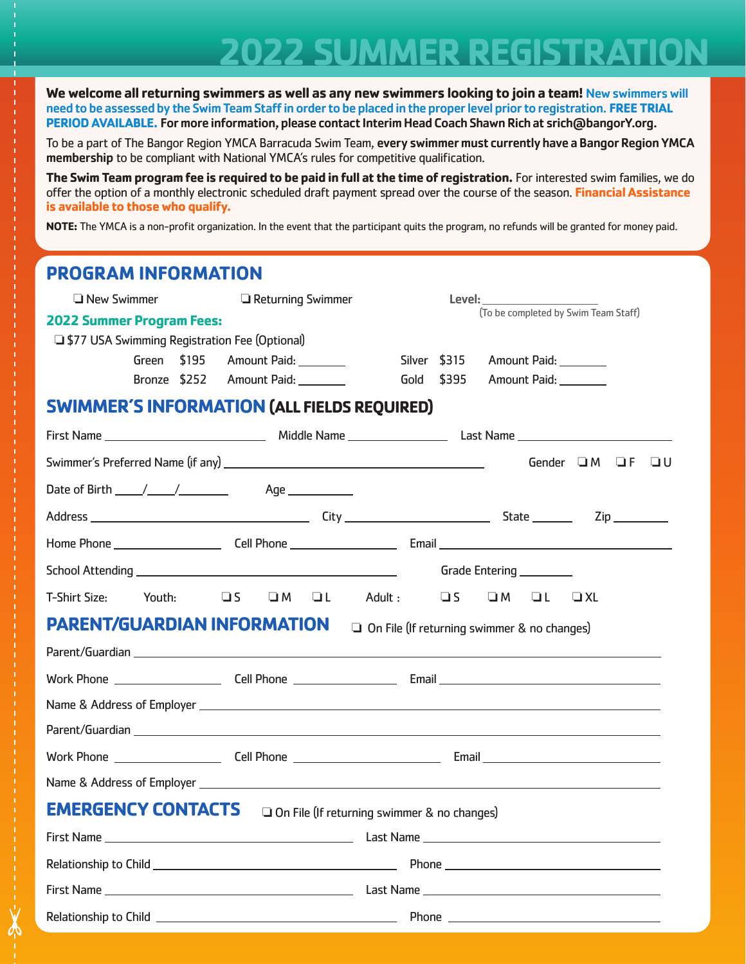# **2022 SUMMER REGISTRATION**

**We welcome all returning swimmers as well as any new swimmers looking to join a team!** New swimmers will need to be assessed by the Swim Team Staff in order to be placed in the proper level prior to registration. **FREE TRIAL PERIOD AVAILABLE.** For more information, please contact Interim Head Coach Shawn Rich at srich@bangorY.org.

To be a part of The Bangor Region YMCA Barracuda Swim Team, every swimmer must currently have a Bangor Region YMCA membership to be compliant with National YMCA's rules for competitive qualification.

**The Swim Team program fee is required to be paid in full at the time of registration.** For interested swim families, we do offer the option of a monthly electronic scheduled draft payment spread over the course of the season. **Financial Assistance is available to those who qualify.**

**NOTE:** The YMCA is a non-profit organization. In the event that the participant quits the program, no refunds will be granted for money paid.

# **PROGRAM INFORMATION O New Swimmer C** Returning Swimmer Level: **2022 Summer Program Fees:**  □ \$77 USA Swimming Registration Fee (Optional) Green \$195 Amount Paid: Silver \$315 Amount Paid: Silver \$315 Amount Paid: Bronze \$252 Amount Paid: Gold \$395 Amount Paid: **SWIMMER'S INFORMATION (ALL FIELDS REQUIRED)** First Name Middle Name Last Name Swimmer's Preferred Name (if any)  $\Box$  Gender  $\Box$  M  $\Box$  F  $\Box$  U Date of Birth  $\frac{1}{\sqrt{2}}$  /  $\frac{1}{\sqrt{2}}$  Age  $\frac{1}{\sqrt{2}}$ Address City State Zip Home Phone Cell Phone Email School Attending Grade Entering T-Shirt Size: Youth: **OS OM OL Adult: OS OM OL OXL PARENT/GUARDIAN INFORMATION** a On File (If returning swimmer & no changes) Parent/Guardian Work Phone Cell Phone Email Name & Address of Employer Parent/Guardian Work Phone **Cell Phone Cell Phone Cell Phone Email** Name & Address of Employer **EMERGENCY CONTACTS** o On File (If returning swimmer & no changes) First Name Last Name Relationship to Child **Phone** Phone **Phone** First Name Last Name Relationship to Child Phone (To be completed by Swim Team Staff)